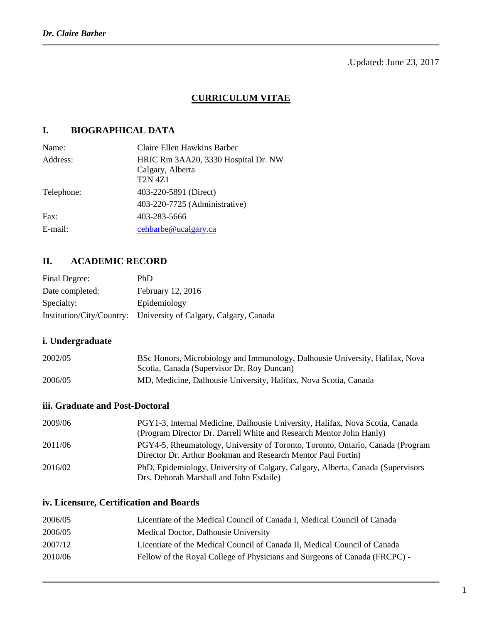.Updated: June 23, 2017

### **CURRICULUM VITAE**

## **I. BIOGRAPHICAL DATA**

| Name:      | Claire Ellen Hawkins Barber                                               |
|------------|---------------------------------------------------------------------------|
| Address:   | HRIC Rm 3AA20, 3330 Hospital Dr. NW<br>Calgary, Alberta<br><b>T2N 4Z1</b> |
| Telephone: | 403-220-5891 (Direct)                                                     |
|            | 403-220-7725 (Administrative)                                             |
| Fax:       | 403-283-5666                                                              |
| E-mail:    | cehbarbe@ucalgary.ca                                                      |
|            |                                                                           |

# **II. ACADEMIC RECORD**

| Final Degree:   | PhD                                                              |
|-----------------|------------------------------------------------------------------|
| Date completed: | February 12, 2016                                                |
| Specialty:      | Epidemiology                                                     |
|                 | Institution/City/Country: University of Calgary, Calgary, Canada |

## **i. Undergraduate**

| 2002/05 | BSc Honors, Microbiology and Immunology, Dalhousie University, Halifax, Nova |
|---------|------------------------------------------------------------------------------|
|         | Scotia, Canada (Supervisor Dr. Roy Duncan)                                   |
| 2006/05 | MD, Medicine, Dalhousie University, Halifax, Nova Scotia, Canada             |

### **iii. Graduate and Post-Doctoral**

| 2009/06 | PGY1-3, Internal Medicine, Dalhousie University, Halifax, Nova Scotia, Canada<br>(Program Director Dr. Darrell White and Research Mentor John Hanly) |
|---------|------------------------------------------------------------------------------------------------------------------------------------------------------|
| 2011/06 | PGY4-5, Rheumatology, University of Toronto, Toronto, Ontario, Canada (Program<br>Director Dr. Arthur Bookman and Research Mentor Paul Fortin)       |
| 2016/02 | PhD, Epidemiology, University of Calgary, Calgary, Alberta, Canada (Supervisors)<br>Drs. Deborah Marshall and John Esdaile)                          |

### **iv. Licensure, Certification and Boards**

| 2006/05 | Licentiate of the Medical Council of Canada I, Medical Council of Canada   |
|---------|----------------------------------------------------------------------------|
| 2006/05 | Medical Doctor, Dalhousie University                                       |
| 2007/12 | Licentiate of the Medical Council of Canada II, Medical Council of Canada  |
| 2010/06 | Fellow of the Royal College of Physicians and Surgeons of Canada (FRCPC) - |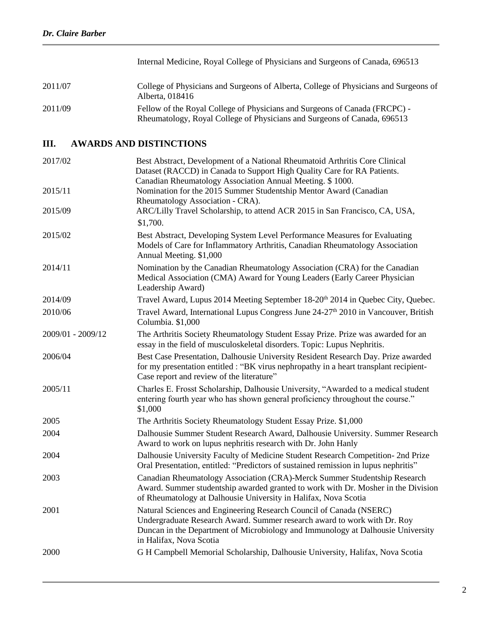|         | Internal Medicine, Royal College of Physicians and Surgeons of Canada, 696513                                                                          |
|---------|--------------------------------------------------------------------------------------------------------------------------------------------------------|
| 2011/07 | College of Physicians and Surgeons of Alberta, College of Physicians and Surgeons of<br>Alberta, 018416                                                |
| 2011/09 | Fellow of the Royal College of Physicians and Surgeons of Canada (FRCPC) -<br>Rheumatology, Royal College of Physicians and Surgeons of Canada, 696513 |

# **III. AWARDS AND DISTINCTIONS**

| 2017/02           | Best Abstract, Development of a National Rheumatoid Arthritis Core Clinical<br>Dataset (RACCD) in Canada to Support High Quality Care for RA Patients.<br>Canadian Rheumatology Association Annual Meeting. \$1000.                                           |
|-------------------|---------------------------------------------------------------------------------------------------------------------------------------------------------------------------------------------------------------------------------------------------------------|
| 2015/11           | Nomination for the 2015 Summer Studentship Mentor Award (Canadian<br>Rheumatology Association - CRA).                                                                                                                                                         |
| 2015/09           | ARC/Lilly Travel Scholarship, to attend ACR 2015 in San Francisco, CA, USA,                                                                                                                                                                                   |
|                   | \$1,700.                                                                                                                                                                                                                                                      |
| 2015/02           | Best Abstract, Developing System Level Performance Measures for Evaluating<br>Models of Care for Inflammatory Arthritis, Canadian Rheumatology Association<br>Annual Meeting. \$1,000                                                                         |
| 2014/11           | Nomination by the Canadian Rheumatology Association (CRA) for the Canadian<br>Medical Association (CMA) Award for Young Leaders (Early Career Physician<br>Leadership Award)                                                                                  |
| 2014/09           | Travel Award, Lupus 2014 Meeting September 18-20 <sup>th</sup> 2014 in Quebec City, Quebec.                                                                                                                                                                   |
| 2010/06           | Travel Award, International Lupus Congress June 24-27 <sup>th</sup> 2010 in Vancouver, British<br>Columbia. \$1,000                                                                                                                                           |
| 2009/01 - 2009/12 | The Arthritis Society Rheumatology Student Essay Prize. Prize was awarded for an<br>essay in the field of musculoskeletal disorders. Topic: Lupus Nephritis.                                                                                                  |
| 2006/04           | Best Case Presentation, Dalhousie University Resident Research Day. Prize awarded<br>for my presentation entitled : "BK virus nephropathy in a heart transplant recipient-<br>Case report and review of the literature"                                       |
| 2005/11           | Charles E. Frosst Scholarship, Dalhousie University, "Awarded to a medical student<br>entering fourth year who has shown general proficiency throughout the course."<br>\$1,000                                                                               |
| 2005              | The Arthritis Society Rheumatology Student Essay Prize. \$1,000                                                                                                                                                                                               |
| 2004              | Dalhousie Summer Student Research Award, Dalhousie University. Summer Research<br>Award to work on lupus nephritis research with Dr. John Hanly                                                                                                               |
| 2004              | Dalhousie University Faculty of Medicine Student Research Competition- 2nd Prize<br>Oral Presentation, entitled: "Predictors of sustained remission in lupus nephritis"                                                                                       |
| 2003              | Canadian Rheumatology Association (CRA)-Merck Summer Studentship Research<br>Award. Summer studentship awarded granted to work with Dr. Mosher in the Division<br>of Rheumatology at Dalhousie University in Halifax, Nova Scotia                             |
| 2001              | Natural Sciences and Engineering Research Council of Canada (NSERC)<br>Undergraduate Research Award. Summer research award to work with Dr. Roy<br>Duncan in the Department of Microbiology and Immunology at Dalhousie University<br>in Halifax, Nova Scotia |
| 2000              | G H Campbell Memorial Scholarship, Dalhousie University, Halifax, Nova Scotia                                                                                                                                                                                 |
|                   |                                                                                                                                                                                                                                                               |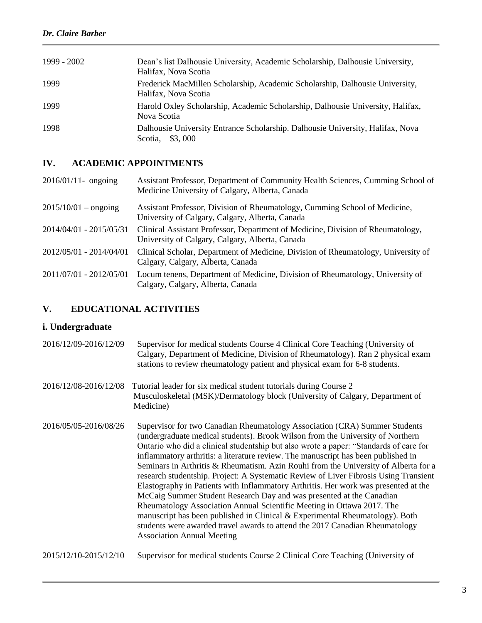| 1999 - 2002 | Dean's list Dalhousie University, Academic Scholarship, Dalhousie University,<br>Halifax, Nova Scotia |
|-------------|-------------------------------------------------------------------------------------------------------|
| 1999        | Frederick MacMillen Scholarship, Academic Scholarship, Dalhousie University,<br>Halifax, Nova Scotia  |
| 1999        | Harold Oxley Scholarship, Academic Scholarship, Dalhousie University, Halifax,<br>Nova Scotia         |
| 1998        | Dalhousie University Entrance Scholarship. Dalhousie University, Halifax, Nova<br>\$3,000<br>Scotia.  |

## **IV. ACADEMIC APPOINTMENTS**

| $2015/10/01 -$ ongoing<br>Assistant Professor, Division of Rheumatology, Cumming School of Medicine,<br>University of Calgary, Calgary, Alberta, Canada<br>2014/04/01 - 2015/05/31<br>Clinical Assistant Professor, Department of Medicine, Division of Rheumatology,<br>University of Calgary, Calgary, Alberta, Canada<br>2012/05/01 - 2014/04/01<br>Calgary, Calgary, Alberta, Canada<br>2011/07/01 - 2012/05/01<br>Locum tenens, Department of Medicine, Division of Rheumatology, University of<br>Calgary, Calgary, Alberta, Canada | $2016/01/11$ - ongoing | Assistant Professor, Department of Community Health Sciences, Cumming School of<br>Medicine University of Calgary, Alberta, Canada |
|-------------------------------------------------------------------------------------------------------------------------------------------------------------------------------------------------------------------------------------------------------------------------------------------------------------------------------------------------------------------------------------------------------------------------------------------------------------------------------------------------------------------------------------------|------------------------|------------------------------------------------------------------------------------------------------------------------------------|
|                                                                                                                                                                                                                                                                                                                                                                                                                                                                                                                                           |                        |                                                                                                                                    |
|                                                                                                                                                                                                                                                                                                                                                                                                                                                                                                                                           |                        |                                                                                                                                    |
|                                                                                                                                                                                                                                                                                                                                                                                                                                                                                                                                           |                        | Clinical Scholar, Department of Medicine, Division of Rheumatology, University of                                                  |
|                                                                                                                                                                                                                                                                                                                                                                                                                                                                                                                                           |                        |                                                                                                                                    |

# **V. EDUCATIONAL ACTIVITIES**

## **i. Undergraduate**

| 2016/12/09-2016/12/09 | Supervisor for medical students Course 4 Clinical Core Teaching (University of<br>Calgary, Department of Medicine, Division of Rheumatology). Ran 2 physical exam<br>stations to review rheumatology patient and physical exam for 6-8 students.                                                                                                                                                                                                                                                                                                                                                                                                                                                                                                                                                                                                                                                                                                                        |
|-----------------------|-------------------------------------------------------------------------------------------------------------------------------------------------------------------------------------------------------------------------------------------------------------------------------------------------------------------------------------------------------------------------------------------------------------------------------------------------------------------------------------------------------------------------------------------------------------------------------------------------------------------------------------------------------------------------------------------------------------------------------------------------------------------------------------------------------------------------------------------------------------------------------------------------------------------------------------------------------------------------|
| 2016/12/08-2016/12/08 | Tutorial leader for six medical student tutorials during Course 2<br>Musculoskeletal (MSK)/Dermatology block (University of Calgary, Department of<br>Medicine)                                                                                                                                                                                                                                                                                                                                                                                                                                                                                                                                                                                                                                                                                                                                                                                                         |
| 2016/05/05-2016/08/26 | Supervisor for two Canadian Rheumatology Association (CRA) Summer Students<br>(undergraduate medical students). Brook Wilson from the University of Northern<br>Ontario who did a clinical studentship but also wrote a paper: "Standards of care for<br>inflammatory arthritis: a literature review. The manuscript has been published in<br>Seminars in Arthritis & Rheumatism. Azin Rouhi from the University of Alberta for a<br>research studentship. Project: A Systematic Review of Liver Fibrosis Using Transient<br>Elastography in Patients with Inflammatory Arthritis. Her work was presented at the<br>McCaig Summer Student Research Day and was presented at the Canadian<br>Rheumatology Association Annual Scientific Meeting in Ottawa 2017. The<br>manuscript has been published in Clinical & Experimental Rheumatology). Both<br>students were awarded travel awards to attend the 2017 Canadian Rheumatology<br><b>Association Annual Meeting</b> |

2015/12/10-2015/12/10Supervisor for medical students Course 2 Clinical Core Teaching (University of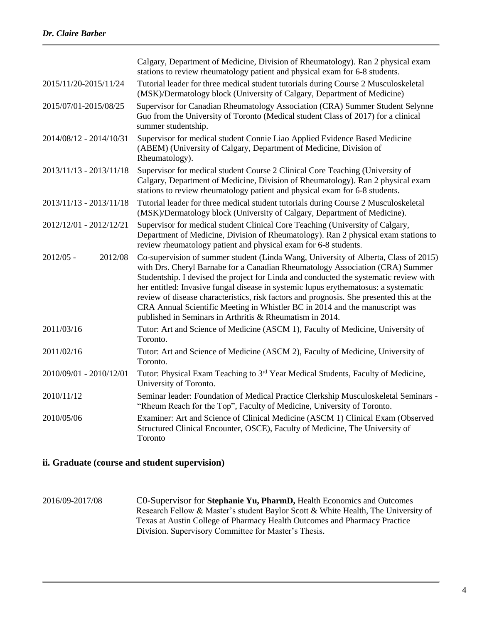|                         | Calgary, Department of Medicine, Division of Rheumatology). Ran 2 physical exam<br>stations to review rheumatology patient and physical exam for 6-8 students.                                                                                                                                                                                                                                                                                                                                                                                                                              |
|-------------------------|---------------------------------------------------------------------------------------------------------------------------------------------------------------------------------------------------------------------------------------------------------------------------------------------------------------------------------------------------------------------------------------------------------------------------------------------------------------------------------------------------------------------------------------------------------------------------------------------|
| 2015/11/20-2015/11/24   | Tutorial leader for three medical student tutorials during Course 2 Musculoskeletal<br>(MSK)/Dermatology block (University of Calgary, Department of Medicine)                                                                                                                                                                                                                                                                                                                                                                                                                              |
| 2015/07/01-2015/08/25   | Supervisor for Canadian Rheumatology Association (CRA) Summer Student Selynne<br>Guo from the University of Toronto (Medical student Class of 2017) for a clinical<br>summer studentship.                                                                                                                                                                                                                                                                                                                                                                                                   |
| 2014/08/12 - 2014/10/31 | Supervisor for medical student Connie Liao Applied Evidence Based Medicine<br>(ABEM) (University of Calgary, Department of Medicine, Division of<br>Rheumatology).                                                                                                                                                                                                                                                                                                                                                                                                                          |
| 2013/11/13 - 2013/11/18 | Supervisor for medical student Course 2 Clinical Core Teaching (University of<br>Calgary, Department of Medicine, Division of Rheumatology). Ran 2 physical exam<br>stations to review rheumatology patient and physical exam for 6-8 students.                                                                                                                                                                                                                                                                                                                                             |
| 2013/11/13 - 2013/11/18 | Tutorial leader for three medical student tutorials during Course 2 Musculoskeletal<br>(MSK)/Dermatology block (University of Calgary, Department of Medicine).                                                                                                                                                                                                                                                                                                                                                                                                                             |
| 2012/12/01 - 2012/12/21 | Supervisor for medical student Clinical Core Teaching (University of Calgary,<br>Department of Medicine, Division of Rheumatology). Ran 2 physical exam stations to<br>review rheumatology patient and physical exam for 6-8 students.                                                                                                                                                                                                                                                                                                                                                      |
| $2012/05 -$<br>2012/08  | Co-supervision of summer student (Linda Wang, University of Alberta, Class of 2015)<br>with Drs. Cheryl Barnabe for a Canadian Rheumatology Association (CRA) Summer<br>Studentship. I devised the project for Linda and conducted the systematic review with<br>her entitled: Invasive fungal disease in systemic lupus erythematosus: a systematic<br>review of disease characteristics, risk factors and prognosis. She presented this at the<br>CRA Annual Scientific Meeting in Whistler BC in 2014 and the manuscript was<br>published in Seminars in Arthritis & Rheumatism in 2014. |
| 2011/03/16              | Tutor: Art and Science of Medicine (ASCM 1), Faculty of Medicine, University of<br>Toronto.                                                                                                                                                                                                                                                                                                                                                                                                                                                                                                 |
| 2011/02/16              | Tutor: Art and Science of Medicine (ASCM 2), Faculty of Medicine, University of<br>Toronto.                                                                                                                                                                                                                                                                                                                                                                                                                                                                                                 |
| 2010/09/01 - 2010/12/01 | Tutor: Physical Exam Teaching to 3 <sup>rd</sup> Year Medical Students, Faculty of Medicine,<br>University of Toronto.                                                                                                                                                                                                                                                                                                                                                                                                                                                                      |
| 2010/11/12              | Seminar leader: Foundation of Medical Practice Clerkship Musculoskeletal Seminars -<br>"Rheum Reach for the Top", Faculty of Medicine, University of Toronto.                                                                                                                                                                                                                                                                                                                                                                                                                               |
| 2010/05/06              | Examiner: Art and Science of Clinical Medicine (ASCM 1) Clinical Exam (Observed<br>Structured Clinical Encounter, OSCE), Faculty of Medicine, The University of<br>Toronto                                                                                                                                                                                                                                                                                                                                                                                                                  |

### **ii. Graduate (course and student supervision)**

2016/09-2017/08 C0-Supervisor for **Stephanie Yu, PharmD,** Health Economics and Outcomes Research Fellow & Master's student Baylor Scott & White Health, The University of Texas at Austin College of Pharmacy Health Outcomes and Pharmacy Practice Division. Supervisory Committee for Master's Thesis.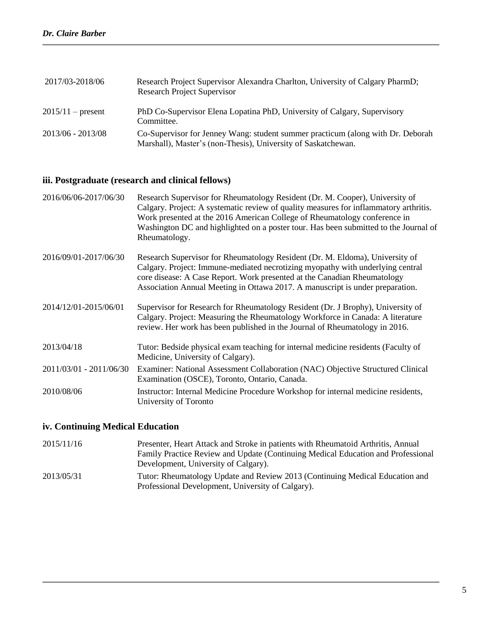| 2017/03-2018/06     | Research Project Supervisor Alexandra Charlton, University of Calgary PharmD;<br><b>Research Project Supervisor</b>                              |
|---------------------|--------------------------------------------------------------------------------------------------------------------------------------------------|
| $2015/11$ – present | PhD Co-Supervisor Elena Lopatina PhD, University of Calgary, Supervisory<br>Committee.                                                           |
| 2013/06 - 2013/08   | Co-Supervisor for Jenney Wang: student summer practicum (along with Dr. Deborah<br>Marshall), Master's (non-Thesis), University of Saskatchewan. |

#### **iii. Postgraduate (research and clinical fellows)**

| 2016/06/06-2017/06/30 | Research Supervisor for Rheumatology Resident (Dr. M. Cooper), University of          |
|-----------------------|---------------------------------------------------------------------------------------|
|                       | Calgary. Project: A systematic review of quality measures for inflammatory arthritis. |
|                       | Work presented at the 2016 American College of Rheumatology conference in             |
|                       | Washington DC and highlighted on a poster tour. Has been submitted to the Journal of  |
|                       | Rheumatology.                                                                         |

2016/09/01-2017/06/30 Research Supervisor for Rheumatology Resident (Dr. M. Eldoma), University of Calgary. Project: Immune-mediated necrotizing myopathy with underlying central core disease: A Case Report. Work presented at the Canadian Rheumatology Association Annual Meeting in Ottawa 2017. A manuscript is under preparation.

2014/12/01-2015/06/01 Supervisor for Research for Rheumatology Resident (Dr. J Brophy), University of Calgary. Project: Measuring the Rheumatology Workforce in Canada: A literature review. Her work has been published in the Journal of Rheumatology in 2016.

2013/04/18 Tutor: Bedside physical exam teaching for internal medicine residents (Faculty of Medicine, University of Calgary).

2011/03/01 - 2011/06/30 Examiner: National Assessment Collaboration (NAC) Objective Structured Clinical Examination (OSCE), Toronto, Ontario, Canada. 2010/08/06 Instructor: Internal Medicine Procedure Workshop for internal medicine residents,

University of Toronto

#### **iv. Continuing Medical Education**

| 2015/11/16 | Presenter, Heart Attack and Stroke in patients with Rheumatoid Arthritis, Annual |
|------------|----------------------------------------------------------------------------------|
|            | Family Practice Review and Update (Continuing Medical Education and Professional |
|            | Development, University of Calgary).                                             |
| 2013/05/31 | Tutor: Rheumatology Update and Review 2013 (Continuing Medical Education and     |
|            | Professional Development, University of Calgary).                                |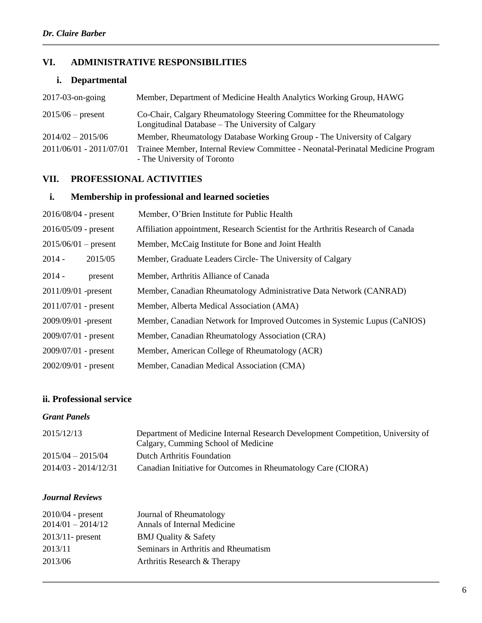## **VI. ADMINISTRATIVE RESPONSIBILITIES**

## **i. Departmental**

| $2017-03$ -on-going     | Member, Department of Medicine Health Analytics Working Group, HAWG                                                         |
|-------------------------|-----------------------------------------------------------------------------------------------------------------------------|
| $2015/06$ – present     | Co-Chair, Calgary Rheumatology Steering Committee for the Rheumatology<br>Longitudinal Database – The University of Calgary |
| $2014/02 - 2015/06$     | Member, Rheumatology Database Working Group - The University of Calgary                                                     |
| 2011/06/01 - 2011/07/01 | Trainee Member, Internal Review Committee - Neonatal-Perinatal Medicine Program<br>- The University of Toronto              |

## **VII. PROFESSIONAL ACTIVITIES**

## **i. Membership in professional and learned societies**

| $2016/08/04$ - present | Member, O'Brien Institute for Public Health                                      |
|------------------------|----------------------------------------------------------------------------------|
| $2016/05/09$ - present | Affiliation appointment, Research Scientist for the Arthritis Research of Canada |
| $2015/06/01$ – present | Member, McCaig Institute for Bone and Joint Health                               |
| $2014 -$<br>2015/05    | Member, Graduate Leaders Circle-The University of Calgary                        |
| $2014 -$<br>present    | Member, Arthritis Alliance of Canada                                             |
| 2011/09/01 -present    | Member, Canadian Rheumatology Administrative Data Network (CANRAD)               |
| $2011/07/01$ - present | Member, Alberta Medical Association (AMA)                                        |
| $2009/09/01$ -present  | Member, Canadian Network for Improved Outcomes in Systemic Lupus (CaNIOS)        |
| $2009/07/01$ - present | Member, Canadian Rheumatology Association (CRA)                                  |
| $2009/07/01$ - present | Member, American College of Rheumatology (ACR)                                   |
| $2002/09/01$ - present | Member, Canadian Medical Association (CMA)                                       |

## **ii. Professional service**

### *Grant Panels*

| 2015/12/13           | Department of Medicine Internal Research Development Competition, University of<br>Calgary, Cumming School of Medicine |
|----------------------|------------------------------------------------------------------------------------------------------------------------|
| $2015/04 - 2015/04$  | Dutch Arthritis Foundation                                                                                             |
| 2014/03 - 2014/12/31 | Canadian Initiative for Outcomes in Rheumatology Care (CIORA)                                                          |

#### *Journal Reviews*

| $2010/04$ - present | Journal of Rheumatology              |
|---------------------|--------------------------------------|
| $2014/01 - 2014/12$ | Annals of Internal Medicine          |
| $2013/11$ - present | <b>BMJ</b> Quality & Safety          |
| 2013/11             | Seminars in Arthritis and Rheumatism |
| 2013/06             | Arthritis Research & Therapy         |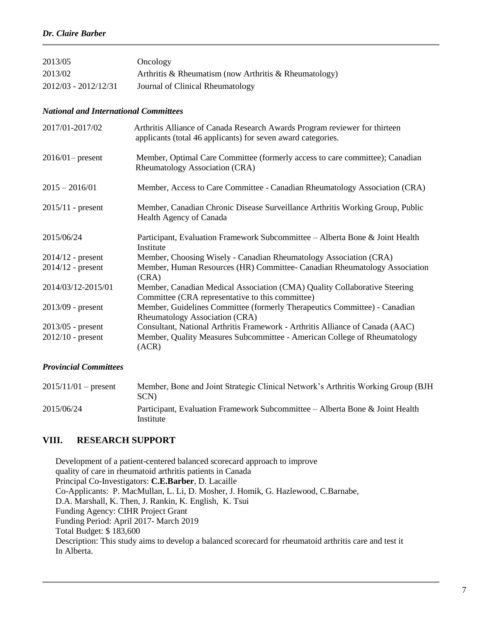| 2013/05              | Oncology                                              |
|----------------------|-------------------------------------------------------|
| 2013/02              | Arthritis & Rheumatism (now Arthritis & Rheumatology) |
| 2012/03 - 2012/12/31 | Journal of Clinical Rheumatology                      |

#### *National and International Committees*

| 2017/01-2017/02     | Arthritis Alliance of Canada Research Awards Program reviewer for thirteen<br>applicants (total 46 applicants) for seven award categories. |
|---------------------|--------------------------------------------------------------------------------------------------------------------------------------------|
| $2016/01$ - present | Member, Optimal Care Committee (formerly access to care committee); Canadian<br>Rheumatology Association (CRA)                             |
| $2015 - 2016/01$    | Member, Access to Care Committee - Canadian Rheumatology Association (CRA)                                                                 |
| $2015/11$ - present | Member, Canadian Chronic Disease Surveillance Arthritis Working Group, Public<br>Health Agency of Canada                                   |
| 2015/06/24          | Participant, Evaluation Framework Subcommittee – Alberta Bone & Joint Health<br>Institute                                                  |
| $2014/12$ - present | Member, Choosing Wisely - Canadian Rheumatology Association (CRA)                                                                          |
| $2014/12$ - present | Member, Human Resources (HR) Committee- Canadian Rheumatology Association<br>(CRA)                                                         |
| 2014/03/12-2015/01  | Member, Canadian Medical Association (CMA) Quality Collaborative Steering<br>Committee (CRA representative to this committee)              |
| $2013/09$ - present | Member, Guidelines Committee (formerly Therapeutics Committee) - Canadian<br>Rheumatology Association (CRA)                                |
| $2013/05$ - present | Consultant, National Arthritis Framework - Arthritis Alliance of Canada (AAC)                                                              |
| $2012/10$ - present | Member, Quality Measures Subcommittee - American College of Rheumatology<br>(ACR)                                                          |

#### *Provincial Committees*

| $2015/11/01$ – present | Member, Bone and Joint Strategic Clinical Network's Arthritis Working Group (BJH)<br>SCN) |
|------------------------|-------------------------------------------------------------------------------------------|
| 2015/06/24             | Participant, Evaluation Framework Subcommittee – Alberta Bone & Joint Health<br>Institute |

#### **VIII. RESEARCH SUPPORT**

 Development of a patient-centered balanced scorecard approach to improve quality of care in rheumatoid arthritis patients in Canada Principal Co-Investigators: **C.E.Barber**, D. Lacaille Co-Applicants: P. MacMullan, L. Li, D. Mosher, J. Homik, G. Hazlewood, C.Barnabe, D.A. Marshall, K. Then, J. Rankin, K. English, K. Tsui Funding Agency: CIHR Project Grant Funding Period: April 2017- March 2019 Total Budget: \$ 183,600 Description: This study aims to develop a balanced scorecard for rheumatoid arthritis care and test it In Alberta.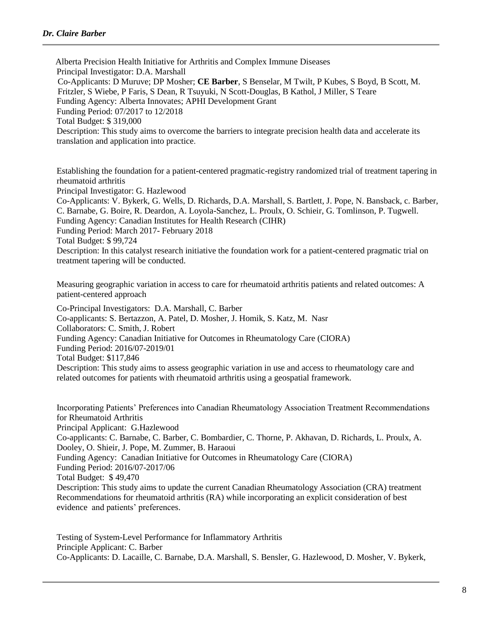Alberta Precision Health Initiative for Arthritis and Complex Immune Diseases Principal Investigator: D.A. Marshall Co-Applicants: D Muruve; DP Mosher; **CE Barber**, S Benselar, M Twilt, P Kubes, S Boyd, B Scott, M. Fritzler, S Wiebe, P Faris, S Dean, R Tsuyuki, N Scott-Douglas, B Kathol, J Miller, S Teare Funding Agency: Alberta Innovates; APHI Development Grant Funding Period: 07/2017 to 12/2018 Total Budget: \$ 319,000 Description: This study aims to overcome the barriers to integrate precision health data and accelerate its translation and application into practice.

Establishing the foundation for a patient-centered pragmatic-registry randomized trial of treatment tapering in rheumatoid arthritis Principal Investigator: G. Hazlewood Co-Applicants: V. Bykerk, G. Wells, D. Richards, D.A. Marshall, S. Bartlett, J. Pope, N. Bansback, c. Barber, C. Barnabe, G. Boire, R. Deardon, A. Loyola-Sanchez, L. Proulx, O. Schieir, G. Tomlinson, P. Tugwell. Funding Agency: Canadian Institutes for Health Research (CIHR) Funding Period: March 2017- February 2018 Total Budget: \$ 99,724 Description: In this catalyst research initiative the foundation work for a patient-centered pragmatic trial on treatment tapering will be conducted.

Measuring geographic variation in access to care for rheumatoid arthritis patients and related outcomes: A patient-centered approach

Co-Principal Investigators: D.A. Marshall, C. Barber Co-applicants: S. Bertazzon, A. Patel, D. Mosher, J. Homik, S. Katz, M. Nasr Collaborators: C. Smith, J. Robert Funding Agency: Canadian Initiative for Outcomes in Rheumatology Care (CIORA) Funding Period: 2016/07-2019/01 Total Budget: \$117,846 Description: This study aims to assess geographic variation in use and access to rheumatology care and related outcomes for patients with rheumatoid arthritis using a geospatial framework.

Incorporating Patients' Preferences into Canadian Rheumatology Association Treatment Recommendations for Rheumatoid Arthritis Principal Applicant: G.Hazlewood Co-applicants: C. Barnabe, C. Barber, C. Bombardier, C. Thorne, P. Akhavan, D. Richards, L. Proulx, A. Dooley, O. Shieir, J. Pope, M. Zummer, B. Haraoui Funding Agency: Canadian Initiative for Outcomes in Rheumatology Care (CIORA) Funding Period: 2016/07-2017/06 Total Budget: \$ 49,470 Description: This study aims to update the current Canadian Rheumatology Association (CRA) treatment Recommendations for rheumatoid arthritis (RA) while incorporating an explicit consideration of best evidence and patients' preferences.

Testing of System-Level Performance for Inflammatory Arthritis Principle Applicant: C. Barber Co-Applicants: D. Lacaille, C. Barnabe, D.A. Marshall, S. Bensler, G. Hazlewood, D. Mosher, V. Bykerk,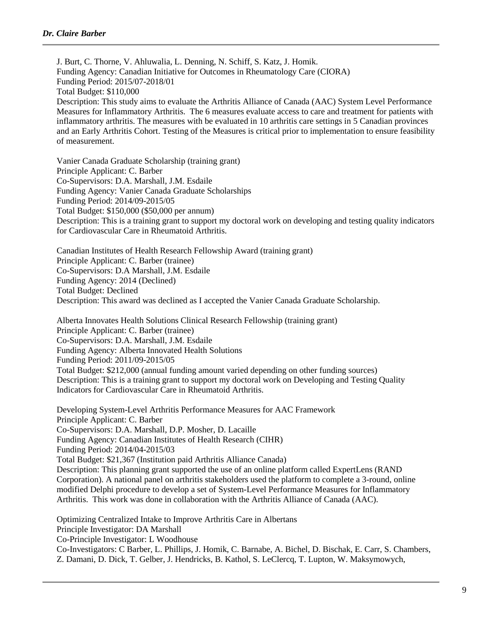J. Burt, C. Thorne, V. Ahluwalia, L. Denning, N. Schiff, S. Katz, J. Homik. Funding Agency: Canadian Initiative for Outcomes in Rheumatology Care (CIORA) Funding Period: 2015/07-2018/01 Total Budget: \$110,000 Description: This study aims to evaluate the Arthritis Alliance of Canada (AAC) System Level Performance Measures for Inflammatory Arthritis. The 6 measures evaluate access to care and treatment for patients with inflammatory arthritis. The measures with be evaluated in 10 arthritis care settings in 5 Canadian provinces and an Early Arthritis Cohort. Testing of the Measures is critical prior to implementation to ensure feasibility of measurement.

Vanier Canada Graduate Scholarship (training grant) Principle Applicant: C. Barber Co-Supervisors: D.A. Marshall, J.M. Esdaile Funding Agency: Vanier Canada Graduate Scholarships Funding Period: 2014/09-2015/05 Total Budget: \$150,000 (\$50,000 per annum) Description: This is a training grant to support my doctoral work on developing and testing quality indicators for Cardiovascular Care in Rheumatoid Arthritis.

Canadian Institutes of Health Research Fellowship Award (training grant) Principle Applicant: C. Barber (trainee) Co-Supervisors: D.A Marshall, J.M. Esdaile Funding Agency: 2014 (Declined) Total Budget: Declined Description: This award was declined as I accepted the Vanier Canada Graduate Scholarship.

Alberta Innovates Health Solutions Clinical Research Fellowship (training grant) Principle Applicant: C. Barber (trainee) Co-Supervisors: D.A. Marshall, J.M. Esdaile Funding Agency: Alberta Innovated Health Solutions Funding Period: 2011/09-2015/05 Total Budget: \$212,000 (annual funding amount varied depending on other funding sources) Description: This is a training grant to support my doctoral work on Developing and Testing Quality Indicators for Cardiovascular Care in Rheumatoid Arthritis.

Developing System-Level Arthritis Performance Measures for AAC Framework Principle Applicant: C. Barber Co-Supervisors: D.A. Marshall, D.P. Mosher, D. Lacaille Funding Agency: Canadian Institutes of Health Research (CIHR) Funding Period: 2014/04-2015/03 Total Budget: \$21,367 (Institution paid Arthritis Alliance Canada) Description: This planning grant supported the use of an online platform called ExpertLens (RAND Corporation). A national panel on arthritis stakeholders used the platform to complete a 3-round, online modified Delphi procedure to develop a set of System-Level Performance Measures for Inflammatory Arthritis. This work was done in collaboration with the Arthritis Alliance of Canada (AAC).

Optimizing Centralized Intake to Improve Arthritis Care in Albertans Principle Investigator: DA Marshall Co-Principle Investigator: L Woodhouse Co-Investigators: C Barber, L. Phillips, J. Homik, C. Barnabe, A. Bichel, D. Bischak, E. Carr, S. Chambers, Z. Damani, D. Dick, T. Gelber, J. Hendricks, B. Kathol, S. LeClercq, T. Lupton, W. Maksymowych,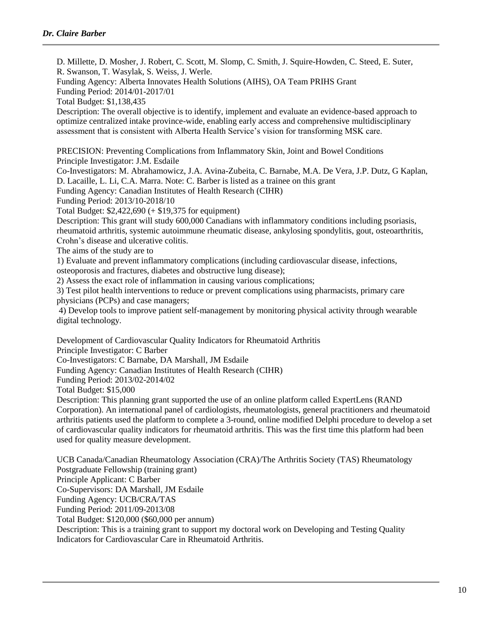D. Millette, D. Mosher, J. Robert, C. Scott, M. Slomp, C. Smith, J. Squire-Howden, C. Steed, E. Suter, R. Swanson, T. Wasylak, S. Weiss, J. Werle. Funding Agency: Alberta Innovates Health Solutions (AIHS), OA Team PRIHS Grant Funding Period: 2014/01-2017/01 Total Budget: \$1,138,435 Description: The overall objective is to identify, implement and evaluate an evidence-based approach to optimize centralized intake province-wide, enabling early access and comprehensive multidisciplinary assessment that is consistent with Alberta Health Service's vision for transforming MSK care. PRECISION: Preventing Complications from Inflammatory Skin, Joint and Bowel Conditions Principle Investigator: J.M. Esdaile Co-Investigators: M. Abrahamowicz, J.A. Avina-Zubeita, C. Barnabe, M.A. De Vera, J.P. Dutz, G Kaplan, D. Lacaille, L. Li, C.A. Marra. Note: C. Barber is listed as a trainee on this grant Funding Agency: Canadian Institutes of Health Research (CIHR) Funding Period: 2013/10-2018/10 Total Budget: \$2,422,690 (+ \$19,375 for equipment) Description: This grant will study 600,000 Canadians with inflammatory conditions including psoriasis, rheumatoid arthritis, systemic autoimmune rheumatic disease, ankylosing spondylitis, gout, osteoarthritis, Crohn's disease and ulcerative colitis. The aims of the study are to 1) Evaluate and prevent inflammatory complications (including cardiovascular disease, infections, osteoporosis and fractures, diabetes and obstructive lung disease); 2) Assess the exact role of inflammation in causing various complications; 3) Test pilot health interventions to reduce or prevent complications using pharmacists, primary care physicians (PCPs) and case managers; 4) Develop tools to improve patient self-management by monitoring physical activity through wearable digital technology. Development of Cardiovascular Quality Indicators for Rheumatoid Arthritis Principle Investigator: C Barber Co-Investigators: C Barnabe, DA Marshall, JM Esdaile Funding Agency: Canadian Institutes of Health Research (CIHR) Funding Period: 2013/02-2014/02 Total Budget: \$15,000 Description: This planning grant supported the use of an online platform called ExpertLens (RAND Corporation). An international panel of cardiologists, rheumatologists, general practitioners and rheumatoid

arthritis patients used the platform to complete a 3-round, online modified Delphi procedure to develop a set of cardiovascular quality indicators for rheumatoid arthritis. This was the first time this platform had been used for quality measure development.

UCB Canada/Canadian Rheumatology Association (CRA)/The Arthritis Society (TAS) Rheumatology Postgraduate Fellowship (training grant) Principle Applicant: C Barber Co-Supervisors: DA Marshall, JM Esdaile Funding Agency: UCB/CRA/TAS Funding Period: 2011/09-2013/08 Total Budget: \$120,000 (\$60,000 per annum) Description: This is a training grant to support my doctoral work on Developing and Testing Quality Indicators for Cardiovascular Care in Rheumatoid Arthritis.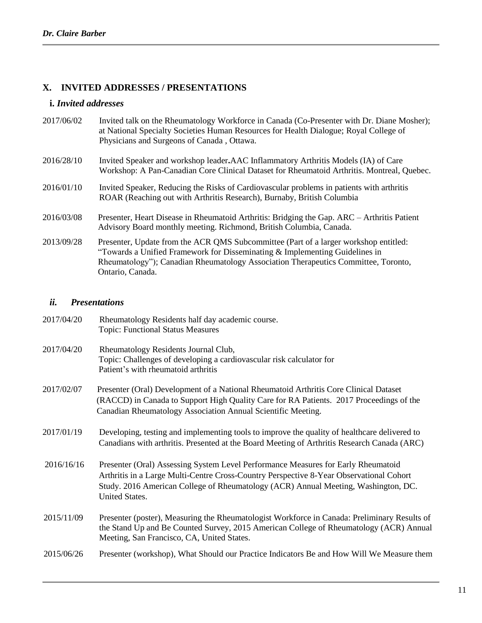## **X. INVITED ADDRESSES / PRESENTATIONS**

### **i.** *Invited addresses*

| 2017/06/02 | Invited talk on the Rheumatology Workforce in Canada (Co-Presenter with Dr. Diane Mosher);<br>at National Specialty Societies Human Resources for Health Dialogue; Royal College of<br>Physicians and Surgeons of Canada, Ottawa.                                               |
|------------|---------------------------------------------------------------------------------------------------------------------------------------------------------------------------------------------------------------------------------------------------------------------------------|
| 2016/28/10 | Invited Speaker and workshop leader. AAC Inflammatory Arthritis Models (IA) of Care<br>Workshop: A Pan-Canadian Core Clinical Dataset for Rheumatoid Arthritis. Montreal, Quebec.                                                                                               |
| 2016/01/10 | Invited Speaker, Reducing the Risks of Cardiovascular problems in patients with arthritis<br>ROAR (Reaching out with Arthritis Research), Burnaby, British Columbia                                                                                                             |
| 2016/03/08 | Presenter, Heart Disease in Rheumatoid Arthritis: Bridging the Gap. ARC – Arthritis Patient<br>Advisory Board monthly meeting. Richmond, British Columbia, Canada.                                                                                                              |
| 2013/09/28 | Presenter, Update from the ACR QMS Subcommittee (Part of a larger workshop entitled:<br>"Towards a Unified Framework for Disseminating $&$ Implementing Guidelines in<br>Rheumatology"); Canadian Rheumatology Association Therapeutics Committee, Toronto,<br>Ontario, Canada. |

### *ii. Presentations*

| 2017/04/20 | Rheumatology Residents half day academic course.<br><b>Topic: Functional Status Measures</b>                                                                                                                                                                                         |
|------------|--------------------------------------------------------------------------------------------------------------------------------------------------------------------------------------------------------------------------------------------------------------------------------------|
| 2017/04/20 | Rheumatology Residents Journal Club,<br>Topic: Challenges of developing a cardiovascular risk calculator for<br>Patient's with rheumatoid arthritis                                                                                                                                  |
| 2017/02/07 | Presenter (Oral) Development of a National Rheumatoid Arthritis Core Clinical Dataset<br>(RACCD) in Canada to Support High Quality Care for RA Patients. 2017 Proceedings of the<br>Canadian Rheumatology Association Annual Scientific Meeting.                                     |
| 2017/01/19 | Developing, testing and implementing tools to improve the quality of healthcare delivered to<br>Canadians with arthritis. Presented at the Board Meeting of Arthritis Research Canada (ARC)                                                                                          |
| 2016/16/16 | Presenter (Oral) Assessing System Level Performance Measures for Early Rheumatoid<br>Arthritis in a Large Multi-Centre Cross-Country Perspective 8-Year Observational Cohort<br>Study. 2016 American College of Rheumatology (ACR) Annual Meeting, Washington, DC.<br>United States. |
| 2015/11/09 | Presenter (poster), Measuring the Rheumatologist Workforce in Canada: Preliminary Results of<br>the Stand Up and Be Counted Survey, 2015 American College of Rheumatology (ACR) Annual<br>Meeting, San Francisco, CA, United States.                                                 |
| 2015/06/26 | Presenter (workshop), What Should our Practice Indicators Be and How Will We Measure them                                                                                                                                                                                            |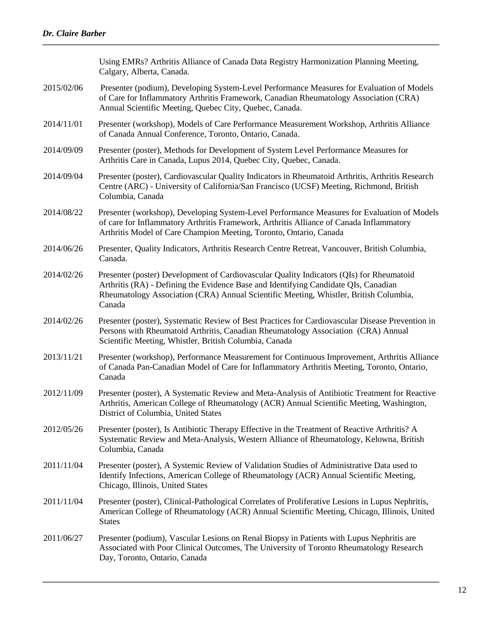|            | Using EMRs? Arthritis Alliance of Canada Data Registry Harmonization Planning Meeting,<br>Calgary, Alberta, Canada.                                                                                                                                                                |
|------------|------------------------------------------------------------------------------------------------------------------------------------------------------------------------------------------------------------------------------------------------------------------------------------|
| 2015/02/06 | Presenter (podium), Developing System-Level Performance Measures for Evaluation of Models<br>of Care for Inflammatory Arthritis Framework, Canadian Rheumatology Association (CRA)<br>Annual Scientific Meeting, Quebec City, Quebec, Canada.                                      |
| 2014/11/01 | Presenter (workshop), Models of Care Performance Measurement Workshop, Arthritis Alliance<br>of Canada Annual Conference, Toronto, Ontario, Canada.                                                                                                                                |
| 2014/09/09 | Presenter (poster), Methods for Development of System Level Performance Measures for<br>Arthritis Care in Canada, Lupus 2014, Quebec City, Quebec, Canada.                                                                                                                         |
| 2014/09/04 | Presenter (poster), Cardiovascular Quality Indicators in Rheumatoid Arthritis, Arthritis Research<br>Centre (ARC) - University of California/San Francisco (UCSF) Meeting, Richmond, British<br>Columbia, Canada                                                                   |
| 2014/08/22 | Presenter (workshop), Developing System-Level Performance Measures for Evaluation of Models<br>of care for Inflammatory Arthritis Framework, Arthritis Alliance of Canada Inflammatory<br>Arthritis Model of Care Champion Meeting, Toronto, Ontario, Canada                       |
| 2014/06/26 | Presenter, Quality Indicators, Arthritis Research Centre Retreat, Vancouver, British Columbia,<br>Canada.                                                                                                                                                                          |
| 2014/02/26 | Presenter (poster) Development of Cardiovascular Quality Indicators (QIs) for Rheumatoid<br>Arthritis (RA) - Defining the Evidence Base and Identifying Candidate QIs, Canadian<br>Rheumatology Association (CRA) Annual Scientific Meeting, Whistler, British Columbia,<br>Canada |
| 2014/02/26 | Presenter (poster), Systematic Review of Best Practices for Cardiovascular Disease Prevention in<br>Persons with Rheumatoid Arthritis, Canadian Rheumatology Association (CRA) Annual<br>Scientific Meeting, Whistler, British Columbia, Canada                                    |
| 2013/11/21 | Presenter (workshop), Performance Measurement for Continuous Improvement, Arthritis Alliance<br>of Canada Pan-Canadian Model of Care for Inflammatory Arthritis Meeting, Toronto, Ontario,<br>Canada                                                                               |
| 2012/11/09 | Presenter (poster), A Systematic Review and Meta-Analysis of Antibiotic Treatment for Reactive<br>Arthritis, American College of Rheumatology (ACR) Annual Scientific Meeting, Washington,<br>District of Columbia, United States                                                  |
| 2012/05/26 | Presenter (poster), Is Antibiotic Therapy Effective in the Treatment of Reactive Arthritis? A<br>Systematic Review and Meta-Analysis, Western Alliance of Rheumatology, Kelowna, British<br>Columbia, Canada                                                                       |
| 2011/11/04 | Presenter (poster), A Systemic Review of Validation Studies of Administrative Data used to<br>Identify Infections, American College of Rheumatology (ACR) Annual Scientific Meeting,<br>Chicago, Illinois, United States                                                           |
| 2011/11/04 | Presenter (poster), Clinical-Pathological Correlates of Proliferative Lesions in Lupus Nephritis,<br>American College of Rheumatology (ACR) Annual Scientific Meeting, Chicago, Illinois, United<br><b>States</b>                                                                  |
| 2011/06/27 | Presenter (podium), Vascular Lesions on Renal Biopsy in Patients with Lupus Nephritis are<br>Associated with Poor Clinical Outcomes, The University of Toronto Rheumatology Research<br>Day, Toronto, Ontario, Canada                                                              |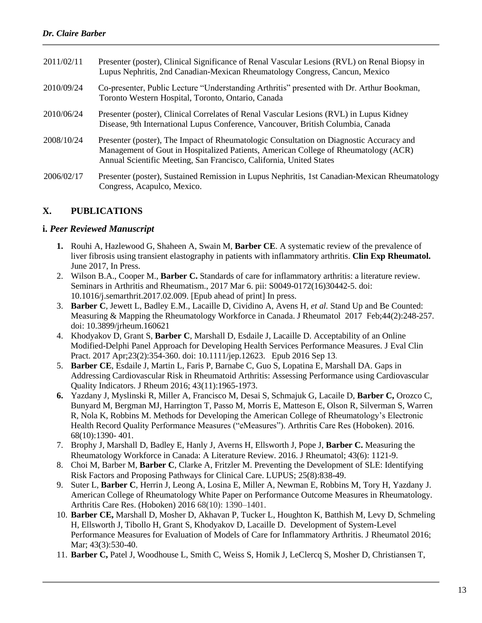| 2011/02/11 | Presenter (poster), Clinical Significance of Renal Vascular Lesions (RVL) on Renal Biopsy in<br>Lupus Nephritis, 2nd Canadian-Mexican Rheumatology Congress, Cancun, Mexico                                                                           |
|------------|-------------------------------------------------------------------------------------------------------------------------------------------------------------------------------------------------------------------------------------------------------|
| 2010/09/24 | Co-presenter, Public Lecture "Understanding Arthritis" presented with Dr. Arthur Bookman,<br>Toronto Western Hospital, Toronto, Ontario, Canada                                                                                                       |
| 2010/06/24 | Presenter (poster), Clinical Correlates of Renal Vascular Lesions (RVL) in Lupus Kidney<br>Disease, 9th International Lupus Conference, Vancouver, British Columbia, Canada                                                                           |
| 2008/10/24 | Presenter (poster), The Impact of Rheumatologic Consultation on Diagnostic Accuracy and<br>Management of Gout in Hospitalized Patients, American College of Rheumatology (ACR)<br>Annual Scientific Meeting, San Francisco, California, United States |
| 2006/02/17 | Presenter (poster), Sustained Remission in Lupus Nephritis, 1st Canadian-Mexican Rheumatology<br>Congress, Acapulco, Mexico.                                                                                                                          |

### **X. PUBLICATIONS**

#### **i.** *Peer Reviewed Manuscript*

- **1.** Rouhi A, Hazlewood G, Shaheen A, Swain M, **Barber CE**. A systematic review of the prevalence of liver fibrosis using transient elastography in patients with inflammatory arthritis. **Clin Exp Rheumatol.**  June 2017, In Press.
- 2. Wilson B.A., Cooper M., **Barber C.** Standards of care for inflammatory arthritis: a literature review. Seminars in Arthritis and Rheumatism., 2017 Mar 6. pii: S0049-0172(16)30442-5. doi: 10.1016/j.semarthrit.2017.02.009. [Epub ahead of print] In press.
- 3. **Barber C**, Jewett L, Badley E.M., Lacaille D, Cividino A, Avens H*, et al.* Stand Up and Be Counted: Measuring & Mapping the Rheumatology Workforce in Canada. J Rheumatol 2017 Feb;44(2):248-257. doi: 10.3899/jrheum.160621
- 4. Khodyakov D, Grant S, **Barber C**, Marshall D, Esdaile J, Lacaille D. Acceptability of an Online Modified-Delphi Panel Approach for Developing Health Services Performance Measures. J Eval Clin Pract. 2017 Apr;23(2):354-360. doi: 10.1111/jep.12623. Epub 2016 Sep 13.
- 5. **Barber CE**, Esdaile J, Martin L, Faris P, Barnabe C, Guo S, Lopatina E, Marshall DA. Gaps in Addressing Cardiovascular Risk in Rheumatoid Arthritis: Assessing Performance using Cardiovascular Quality Indicators. J Rheum 2016; 43(11):1965-1973.
- **6.** Yazdany J, Myslinski R, Miller A, Francisco M, Desai S, Schmajuk G, Lacaile D, **Barber C,** Orozco C, Bunyard M, Bergman MJ, Harrington T, Passo M, Morris E, Matteson E, Olson R, Silverman S, Warren R, Nola K, Robbins M. Methods for Developing the American College of Rheumatology's Electronic Health Record Quality Performance Measures ("eMeasures"). Arthritis Care Res (Hoboken). 2016. 68(10):1390- 401.
- 7. Brophy J, Marshall D, Badley E, Hanly J, Averns H, Ellsworth J, Pope J, **Barber C.** Measuring the Rheumatology Workforce in Canada: A Literature Review. 2016. J Rheumatol; 43(6): 1121-9.
- 8. Choi M, Barber M, **Barber C**, Clarke A, Fritzler M. Preventing the Development of SLE: Identifying Risk Factors and Proposing Pathways for Clinical Care. LUPUS; 25(8):838-49.
- 9. Suter L, **Barber C**, Herrin J, Leong A, Losina E, Miller A, Newman E, Robbins M, Tory H, Yazdany J. American College of Rheumatology White Paper on Performance Outcome Measures in Rheumatology. Arthritis Care Res. (Hoboken) 2016 68(10): 1390–1401.
- 10. **Barber CE,** Marshall D, Mosher D, Akhavan P, Tucker L, Houghton K, Batthish M, Levy D, Schmeling H, Ellsworth J, Tibollo H, Grant S, Khodyakov D, Lacaille D. Development of System-Level Performance Measures for Evaluation of Models of Care for Inflammatory Arthritis. J Rheumatol 2016; Mar; 43(3):530-40.
- 11. **Barber C,** Patel J, Woodhouse L, Smith C, Weiss S, Homik J, LeClercq S, Mosher D, Christiansen T,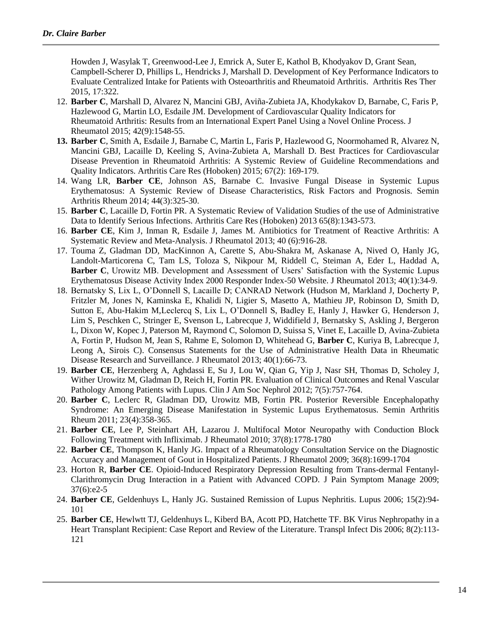Howden J, Wasylak T, Greenwood-Lee J, Emrick A, Suter E, Kathol B, Khodyakov D, Grant Sean, Campbell-Scherer D, Phillips L, Hendricks J, Marshall D. Development of Key Performance Indicators to Evaluate Centralized Intake for Patients with Osteoarthritis and Rheumatoid Arthritis. Arthritis Res Ther 2015, 17:322.

- 12. **Barber C**, Marshall D, Alvarez N, Mancini GBJ, Aviña-Zubieta JA, Khodykakov D, Barnabe, C, Faris P, Hazlewood G, Martin LO, Esdaile JM. Development of Cardiovascular Quality Indicators for Rheumatoid Arthritis: Results from an International Expert Panel Using a Novel Online Process. J Rheumatol 2015; 42(9):1548-55.
- **13. Barber C**, Smith A, Esdaile J, Barnabe C, Martin L, Faris P, Hazlewood G, Noormohamed R, Alvarez N, Mancini GBJ, Lacaille D, Keeling S, Avina-Zubieta A, Marshall D. Best Practices for Cardiovascular Disease Prevention in Rheumatoid Arthritis: A Systemic Review of Guideline Recommendations and Quality Indicators. Arthritis Care Res (Hoboken) 2015; 67(2): 169-179.
- 14. Wang LR, **Barber CE**, Johnson AS, Barnabe C. Invasive Fungal Disease in Systemic Lupus Erythematosus: A Systemic Review of Disease Characteristics, Risk Factors and Prognosis. Semin Arthritis Rheum 2014; 44(3):325-30.
- 15. **Barber C**, Lacaille D, Fortin PR. A Systematic Review of Validation Studies of the use of Administrative Data to Identify Serious Infections. Arthritis Care Res (Hoboken) 2013 65(8):1343-573.
- 16. **Barber CE**, Kim J, Inman R, Esdaile J, James M. Antibiotics for Treatment of Reactive Arthritis: A Systematic Review and Meta-Analysis. J Rheumatol 2013; 40 (6):916-28.
- 17. Touma Z, Gladman DD, MacKinnon A, Carette S, Abu-Shakra M, Askanase A, Nived O, Hanly JG, Landolt-Marticorena C, Tam LS, Toloza S, Nikpour M, Riddell C, Steiman A, Eder L, Haddad A, **Barber C**, Urowitz MB. Development and Assessment of Users' Satisfaction with the Systemic Lupus Erythematosus Disease Activity Index 2000 Responder Index-50 Website. J Rheumatol 2013; 40(1):34-9.
- 18. Bernatsky S, Lix L, O'Donnell S, Lacaille D; CANRAD Network (Hudson M, Markland J, Docherty P, Fritzler M, Jones N, Kaminska E, Khalidi N, Ligier S, Masetto A, Mathieu JP, Robinson D, Smith D, Sutton E, Abu-Hakim M,Leclercq S, Lix L, O'Donnell S, Badley E, Hanly J, Hawker G, Henderson J, Lim S, Peschken C, Stringer E, Svenson L, Labrecque J, Widdifield J, Bernatsky S, Askling J, Bergeron L, Dixon W, Kopec J, Paterson M, Raymond C, Solomon D, Suissa S, Vinet E, Lacaille D, Avina-Zubieta A, Fortin P, Hudson M, Jean S, Rahme E, Solomon D, Whitehead G, **Barber C**, Kuriya B, Labrecque J, Leong A, Sirois C). Consensus Statements for the Use of Administrative Health Data in Rheumatic Disease Research and Surveillance. J Rheumatol 2013; 40(1):66-73.
- 19. **Barber CE**, Herzenberg A, Aghdassi E, Su J, Lou W, Qian G, Yip J, Nasr SH, Thomas D, Scholey J, Wither Urowitz M, Gladman D, Reich H, Fortin PR. Evaluation of Clinical Outcomes and Renal Vascular Pathology Among Patients with Lupus. Clin J Am Soc Nephrol 2012; 7(5):757-764.
- 20. **Barber C**, Leclerc R, Gladman DD, Urowitz MB, Fortin PR. Posterior Reversible Encephalopathy Syndrome: An Emerging Disease Manifestation in Systemic Lupus Erythematosus. Semin Arthritis Rheum 2011; 23(4):358-365.
- 21. **Barber CE**, Lee P, Steinhart AH, Lazarou J. Multifocal Motor Neuropathy with Conduction Block Following Treatment with Infliximab. J Rheumatol 2010; 37(8):1778-1780
- 22. **Barber CE**, Thompson K, Hanly JG. Impact of a Rheumatology Consultation Service on the Diagnostic Accuracy and Management of Gout in Hospitalized Patients. J Rheumatol 2009; 36(8):1699-1704
- 23. Horton R, **Barber CE**. Opioid-Induced Respiratory Depression Resulting from Trans-dermal Fentanyl-Clarithromycin Drug Interaction in a Patient with Advanced COPD. J Pain Symptom Manage 2009; 37(6):e2-5
- 24. **Barber CE**, Geldenhuys L, Hanly JG. Sustained Remission of Lupus Nephritis. Lupus 2006; 15(2):94- 101
- 25. **Barber CE**, Hewlwtt TJ, Geldenhuys L, Kiberd BA, Acott PD, Hatchette TF. BK Virus Nephropathy in a Heart Transplant Recipient: Case Report and Review of the Literature. Transpl Infect Dis 2006; 8(2):113- 121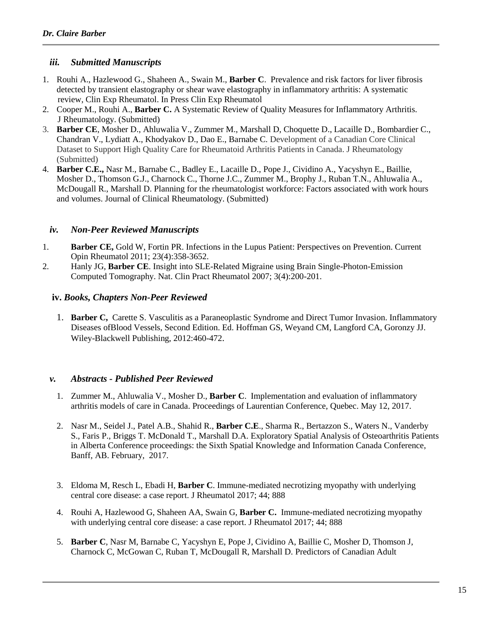#### *iii. Submitted Manuscripts*

- 1. Rouhi A., Hazlewood G., Shaheen A., Swain M., **Barber C**. Prevalence and risk factors for liver fibrosis detected by transient elastography or shear wave elastography in inflammatory arthritis: A systematic review, Clin Exp Rheumatol. In Press Clin Exp Rheumatol
- 2. Cooper M., Rouhi A., **Barber C.** A Systematic Review of Quality Measures for Inflammatory Arthritis. J Rheumatology. (Submitted)
- 3. **Barber CE**, Mosher D., Ahluwalia V., Zummer M., Marshall D, Choquette D., Lacaille D., Bombardier C., Chandran V., Lydiatt A., Khodyakov D., Dao E., Barnabe C. Development of a Canadian Core Clinical Dataset to Support High Quality Care for Rheumatoid Arthritis Patients in Canada. J Rheumatology (Submitted)
- 4. **Barber C.E.,** Nasr M., Barnabe C., Badley E., Lacaille D., Pope J., Cividino A., Yacyshyn E., Baillie, Mosher D., Thomson G.J., Charnock C., Thorne J.C., Zummer M., Brophy J., Ruban T.N., Ahluwalia A., McDougall R., Marshall D. Planning for the rheumatologist workforce: Factors associated with work hours and volumes. Journal of Clinical Rheumatology. (Submitted)

#### *iv. Non-Peer Reviewed Manuscripts*

- 1. **Barber CE,** Gold W, Fortin PR. Infections in the Lupus Patient: Perspectives on Prevention. Current Opin Rheumatol 2011; 23(4):358-3652.
- 2. Hanly JG, **Barber CE**. Insight into SLE-Related Migraine using Brain Single-Photon-Emission Computed Tomography. Nat. Clin Pract Rheumatol 2007; 3(4):200-201.

#### **iv.** *Books, Chapters Non-Peer Reviewed*

1. **Barber C,** Carette S. Vasculitis as a Paraneoplastic Syndrome and Direct Tumor Invasion. Inflammatory Diseases ofBlood Vessels, Second Edition. Ed. Hoffman GS, Weyand CM, Langford CA, Goronzy JJ. Wiley-Blackwell Publishing, 2012:460-472.

#### *v. Abstracts - Published Peer Reviewed*

- 1. Zummer M., Ahluwalia V., Mosher D., **Barber C**. Implementation and evaluation of inflammatory arthritis models of care in Canada. Proceedings of Laurentian Conference, Quebec. May 12, 2017.
- 2. Nasr M., Seidel J., Patel A.B., Shahid R., **Barber C.E**., Sharma R., Bertazzon S., Waters N., Vanderby S., Faris P., Briggs T. McDonald T., Marshall D.A. Exploratory Spatial Analysis of Osteoarthritis Patients in Alberta Conference proceedings: the Sixth Spatial Knowledge and Information Canada Conference, Banff, AB. February, 2017.
- 3. Eldoma M, Resch L, Ebadi H, **Barber C**. Immune-mediated necrotizing myopathy with underlying central core disease: a case report. J Rheumatol 2017; 44; 888
- 4. Rouhi A, Hazlewood G, Shaheen AA, Swain G, **Barber C.** Immune-mediated necrotizing myopathy with underlying central core disease: a case report. J Rheumatol 2017; 44; 888
- 5. **Barber C**, Nasr M, Barnabe C, Yacyshyn E, Pope J, Cividino A, Baillie C, Mosher D, Thomson J, Charnock C, McGowan C, Ruban T, McDougall R, Marshall D. Predictors of Canadian Adult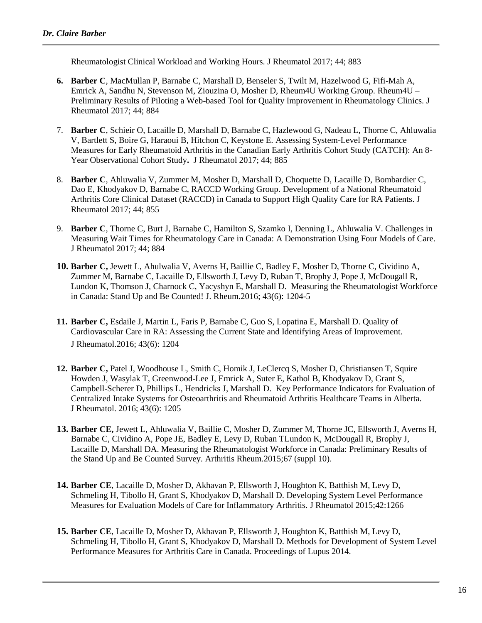Rheumatologist Clinical Workload and Working Hours. J Rheumatol 2017; 44; 883

- **6. Barber C**, MacMullan P, Barnabe C, Marshall D, Benseler S, Twilt M, Hazelwood G, Fifi-Mah A, Emrick A, Sandhu N, Stevenson M, Ziouzina O, Mosher D, Rheum4U Working Group. Rheum4U – Preliminary Results of Piloting a Web-based Tool for Quality Improvement in Rheumatology Clinics. J Rheumatol 2017; 44; 884
- 7. **Barber C**, Schieir O, Lacaille D, Marshall D, Barnabe C, Hazlewood G, Nadeau L, Thorne C, Ahluwalia V, Bartlett S, Boire G, Haraoui B, Hitchon C, Keystone E. Assessing System-Level Performance Measures for Early Rheumatoid Arthritis in the Canadian Early Arthritis Cohort Study (CATCH): An 8- Year Observational Cohort Study**.** J Rheumatol 2017; 44; 885
- 8. **Barber C**, Ahluwalia V, Zummer M, Mosher D, Marshall D, Choquette D, Lacaille D, Bombardier C, Dao E, Khodyakov D, Barnabe C, RACCD Working Group. Development of a National Rheumatoid Arthritis Core Clinical Dataset (RACCD) in Canada to Support High Quality Care for RA Patients. J Rheumatol 2017; 44; 855
- 9. **Barber C**, Thorne C, Burt J, Barnabe C, Hamilton S, Szamko I, Denning L, Ahluwalia V. Challenges in Measuring Wait Times for Rheumatology Care in Canada: A Demonstration Using Four Models of Care. J Rheumatol 2017; 44; 884
- **10. Barber C,** Jewett L, Ahulwalia V, Averns H, Baillie C, Badley E, Mosher D, Thorne C, Cividino A, Zummer M, Barnabe C, Lacaille D, Ellsworth J, Levy D, Ruban T, Brophy J, Pope J, McDougall R, Lundon K, Thomson J, Charnock C, Yacyshyn E, Marshall D. Measuring the Rheumatologist Workforce in Canada: Stand Up and Be Counted! J. Rheum.2016; 43(6): 1204-5
- **11. Barber C,** Esdaile J, Martin L, Faris P, Barnabe C, Guo S, Lopatina E, Marshall D. Quality of Cardiovascular Care in RA: Assessing the Current State and Identifying Areas of Improvement. J Rheumatol.2016; 43(6): 1204
- **12. Barber C,** Patel J, Woodhouse L, Smith C, Homik J, LeClercq S, Mosher D, Christiansen T, Squire Howden J, Wasylak T, Greenwood-Lee J, Emrick A, Suter E, Kathol B, Khodyakov D, Grant S, Campbell-Scherer D, Phillips L, Hendricks J, Marshall D. Key Performance Indicators for Evaluation of Centralized Intake Systems for Osteoarthritis and Rheumatoid Arthritis Healthcare Teams in Alberta. J Rheumatol. 2016; 43(6): 1205
- **13. Barber CE,** Jewett L, Ahluwalia V, Baillie C, Mosher D, Zummer M, Thorne JC, Ellsworth J, Averns H, Barnabe C, Cividino A, Pope JE, Badley E, Levy D, Ruban TLundon K, McDougall R, Brophy J, Lacaille D, Marshall DA. Measuring the Rheumatologist Workforce in Canada: Preliminary Results of the Stand Up and Be Counted Survey. Arthritis Rheum.2015;67 (suppl 10).
- **14. Barber CE**, Lacaille D, Mosher D, Akhavan P, Ellsworth J, Houghton K, Batthish M, Levy D, Schmeling H, Tibollo H, Grant S, Khodyakov D, Marshall D. Developing System Level Performance Measures for Evaluation Models of Care for Inflammatory Arthritis. J Rheumatol 2015;42:1266
- **15. Barber CE**, Lacaille D, Mosher D, Akhavan P, Ellsworth J, Houghton K, Batthish M, Levy D, Schmeling H, Tibollo H, Grant S, Khodyakov D, Marshall D. Methods for Development of System Level Performance Measures for Arthritis Care in Canada. Proceedings of Lupus 2014.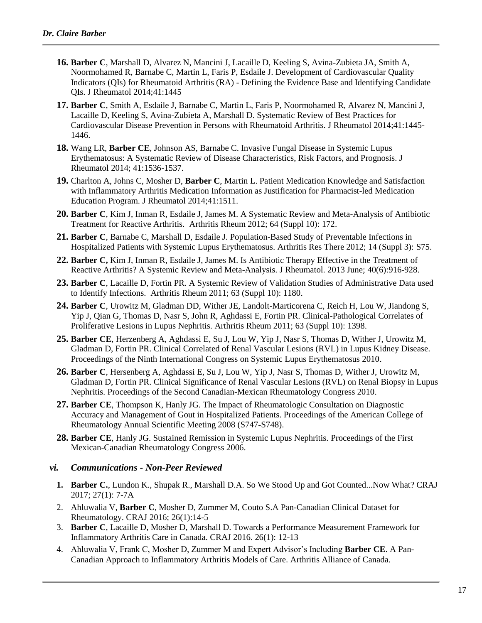- **16. Barber C**, Marshall D, Alvarez N, Mancini J, Lacaille D, Keeling S, Avina-Zubieta JA, Smith A, Noormohamed R, Barnabe C, Martin L, Faris P, Esdaile J. Development of Cardiovascular Quality Indicators (QIs) for Rheumatoid Arthritis (RA) - Defining the Evidence Base and Identifying Candidate QIs. J Rheumatol 2014;41:1445
- **17. Barber C**, Smith A, Esdaile J, Barnabe C, Martin L, Faris P, Noormohamed R, Alvarez N, Mancini J, Lacaille D, Keeling S, Avina-Zubieta A, Marshall D. Systematic Review of Best Practices for Cardiovascular Disease Prevention in Persons with Rheumatoid Arthritis. J Rheumatol 2014;41:1445- 1446.
- **18.** Wang LR, **Barber CE**, Johnson AS, Barnabe C. Invasive Fungal Disease in Systemic Lupus Erythematosus: A Systematic Review of Disease Characteristics, Risk Factors, and Prognosis. J Rheumatol 2014; 41:1536-1537.
- **19.** Charlton A, Johns C, Mosher D, **Barber C**, Martin L. Patient Medication Knowledge and Satisfaction with Inflammatory Arthritis Medication Information as Justification for Pharmacist-led Medication Education Program. J Rheumatol 2014;41:1511.
- **20. Barber C**, Kim J, Inman R, Esdaile J, James M. A Systematic Review and Meta-Analysis of Antibiotic Treatment for Reactive Arthritis. Arthritis Rheum 2012; 64 (Suppl 10): 172.
- **21. Barber C**, Barnabe C, Marshall D, Esdaile J. Population-Based Study of Preventable Infections in Hospitalized Patients with Systemic Lupus Erythematosus. Arthritis Res There 2012; 14 (Suppl 3): S75.
- **22. Barber C,** Kim J, Inman R, Esdaile J, James M. Is Antibiotic Therapy Effective in the Treatment of Reactive Arthritis? A Systemic Review and Meta-Analysis. J Rheumatol. 2013 June; 40(6):916-928.
- **23. Barber C**, Lacaille D, Fortin PR. A Systemic Review of Validation Studies of Administrative Data used to Identify Infections. Arthritis Rheum 2011; 63 (Suppl 10): 1180.
- **24. Barber C**, Urowitz M, Gladman DD, Wither JE, Landolt-Marticorena C, Reich H, Lou W, Jiandong S, Yip J, Qian G, Thomas D, Nasr S, John R, Aghdassi E, Fortin PR. Clinical-Pathological Correlates of Proliferative Lesions in Lupus Nephritis. Arthritis Rheum 2011; 63 (Suppl 10): 1398.
- **25. Barber CE**, Herzenberg A, Aghdassi E, Su J, Lou W, Yip J, Nasr S, Thomas D, Wither J, Urowitz M, Gladman D, Fortin PR. Clinical Correlated of Renal Vascular Lesions (RVL) in Lupus Kidney Disease. Proceedings of the Ninth International Congress on Systemic Lupus Erythematosus 2010.
- **26. Barber C**, Hersenberg A, Aghdassi E, Su J, Lou W, Yip J, Nasr S, Thomas D, Wither J, Urowitz M, Gladman D, Fortin PR. Clinical Significance of Renal Vascular Lesions (RVL) on Renal Biopsy in Lupus Nephritis. Proceedings of the Second Canadian-Mexican Rheumatology Congress 2010.
- **27. Barber CE**, Thompson K, Hanly JG. The Impact of Rheumatologic Consultation on Diagnostic Accuracy and Management of Gout in Hospitalized Patients. Proceedings of the American College of Rheumatology Annual Scientific Meeting 2008 (S747-S748).
- **28. Barber CE**, Hanly JG. Sustained Remission in Systemic Lupus Nephritis. Proceedings of the First Mexican-Canadian Rheumatology Congress 2006.

#### *vi. Communications - Non-Peer Reviewed*

- **1. Barber C.**, Lundon K., Shupak R., Marshall D.A. So We Stood Up and Got Counted...Now What? CRAJ 2017; 27(1): 7-7A
- 2. Ahluwalia V, **Barber C**, Mosher D, Zummer M, Couto S.A Pan-Canadian Clinical Dataset for Rheumatology. CRAJ 2016; 26(1):14-5
- 3. **Barber C**, Lacaille D, Mosher D, Marshall D. Towards a Performance Measurement Framework for Inflammatory Arthritis Care in Canada. CRAJ 2016. 26(1): 12-13
- 4. Ahluwalia V, Frank C, Mosher D, Zummer M and Expert Advisor's Including **Barber CE**. A Pan-Canadian Approach to Inflammatory Arthritis Models of Care. Arthritis Alliance of Canada.